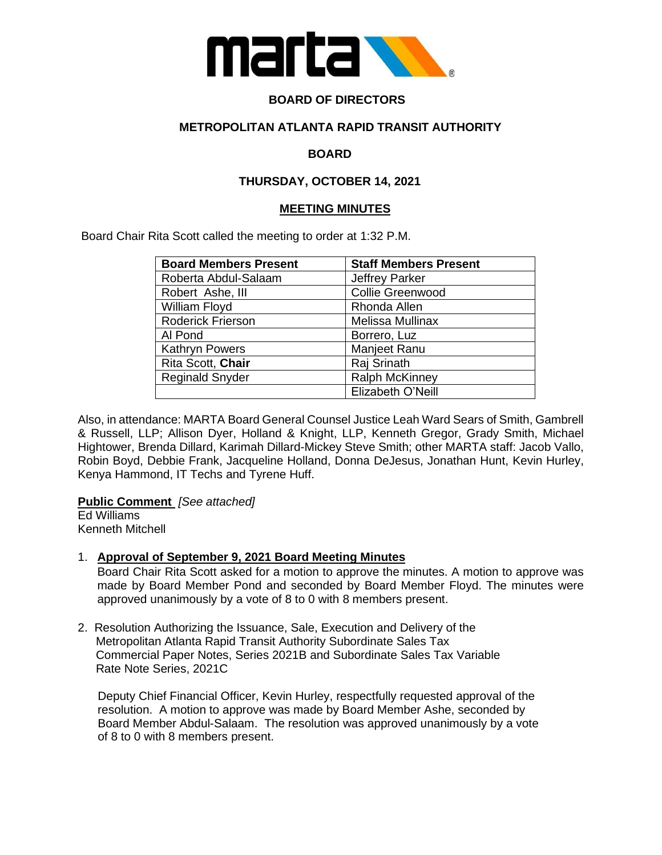

## **BOARD OF DIRECTORS**

## **METROPOLITAN ATLANTA RAPID TRANSIT AUTHORITY**

## **BOARD**

### **THURSDAY, OCTOBER 14, 2021**

#### **MEETING MINUTES**

Board Chair Rita Scott called the meeting to order at 1:32 P.M.

| <b>Board Members Present</b> | <b>Staff Members Present</b> |
|------------------------------|------------------------------|
| Roberta Abdul-Salaam         | <b>Jeffrey Parker</b>        |
| Robert Ashe, III             | <b>Collie Greenwood</b>      |
| William Floyd                | Rhonda Allen                 |
| Roderick Frierson            | Melissa Mullinax             |
| Al Pond                      | Borrero, Luz                 |
| <b>Kathryn Powers</b>        | Manjeet Ranu                 |
| Rita Scott, Chair            | Raj Srinath                  |
| <b>Reginald Snyder</b>       | Ralph McKinney               |
|                              | Elizabeth O'Neill            |

Also, in attendance: MARTA Board General Counsel Justice Leah Ward Sears of Smith, Gambrell & Russell, LLP; Allison Dyer, Holland & Knight, LLP, Kenneth Gregor, Grady Smith, Michael Hightower, Brenda Dillard, Karimah Dillard-Mickey Steve Smith; other MARTA staff: Jacob Vallo, Robin Boyd, Debbie Frank, Jacqueline Holland, Donna DeJesus, Jonathan Hunt, Kevin Hurley, Kenya Hammond, IT Techs and Tyrene Huff.

**Public Comment** *[See attached]*

Ed Williams Kenneth Mitchell

#### 1. **Approval of September 9, 2021 Board Meeting Minutes**

Board Chair Rita Scott asked for a motion to approve the minutes. A motion to approve was made by Board Member Pond and seconded by Board Member Floyd. The minutes were approved unanimously by a vote of 8 to 0 with 8 members present.

2. Resolution Authorizing the Issuance, Sale, Execution and Delivery of the Metropolitan Atlanta Rapid Transit Authority Subordinate Sales Tax Commercial Paper Notes, Series 2021B and Subordinate Sales Tax Variable Rate Note Series, 2021C

 Deputy Chief Financial Officer, Kevin Hurley, respectfully requested approval of the resolution. A motion to approve was made by Board Member Ashe, seconded by Board Member Abdul-Salaam. The resolution was approved unanimously by a vote of 8 to 0 with 8 members present.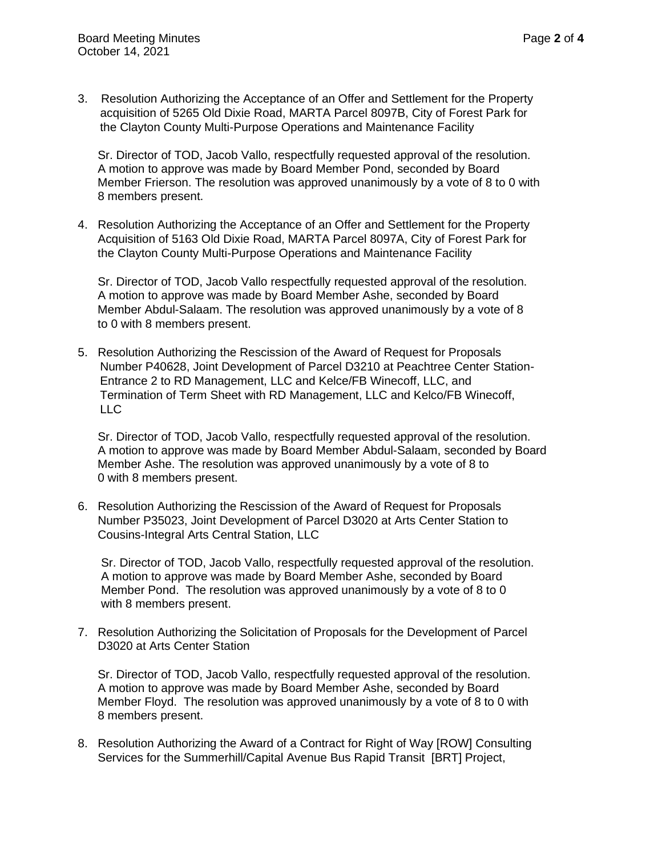- 
- 3. Resolution Authorizing the Acceptance of an Offer and Settlement for the Property acquisition of 5265 Old Dixie Road, MARTA Parcel 8097B, City of Forest Park for the Clayton County Multi-Purpose Operations and Maintenance Facility

 Sr. Director of TOD, Jacob Vallo, respectfully requested approval of the resolution. A motion to approve was made by Board Member Pond, seconded by Board Member Frierson. The resolution was approved unanimously by a vote of 8 to 0 with 8 members present.

4. Resolution Authorizing the Acceptance of an Offer and Settlement for the Property Acquisition of 5163 Old Dixie Road, MARTA Parcel 8097A, City of Forest Park for the Clayton County Multi-Purpose Operations and Maintenance Facility

 Sr. Director of TOD, Jacob Vallo respectfully requested approval of the resolution. A motion to approve was made by Board Member Ashe, seconded by Board Member Abdul-Salaam. The resolution was approved unanimously by a vote of 8 to 0 with 8 members present.

5. Resolution Authorizing the Rescission of the Award of Request for Proposals Number P40628, Joint Development of Parcel D3210 at Peachtree Center Station- Entrance 2 to RD Management, LLC and Kelce/FB Winecoff, LLC, and Termination of Term Sheet with RD Management, LLC and Kelco/FB Winecoff, LLC

 Sr. Director of TOD, Jacob Vallo, respectfully requested approval of the resolution. A motion to approve was made by Board Member Abdul-Salaam, seconded by Board Member Ashe. The resolution was approved unanimously by a vote of 8 to 0 with 8 members present.

6. Resolution Authorizing the Rescission of the Award of Request for Proposals Number P35023, Joint Development of Parcel D3020 at Arts Center Station to Cousins-Integral Arts Central Station, LLC

 Sr. Director of TOD, Jacob Vallo, respectfully requested approval of the resolution. A motion to approve was made by Board Member Ashe, seconded by Board Member Pond. The resolution was approved unanimously by a vote of 8 to 0 with 8 members present.

7. Resolution Authorizing the Solicitation of Proposals for the Development of Parcel D3020 at Arts Center Station

 Sr. Director of TOD, Jacob Vallo, respectfully requested approval of the resolution. A motion to approve was made by Board Member Ashe, seconded by Board Member Floyd. The resolution was approved unanimously by a vote of 8 to 0 with 8 members present.

8. Resolution Authorizing the Award of a Contract for Right of Way [ROW] Consulting Services for the Summerhill/Capital Avenue Bus Rapid Transit [BRT] Project,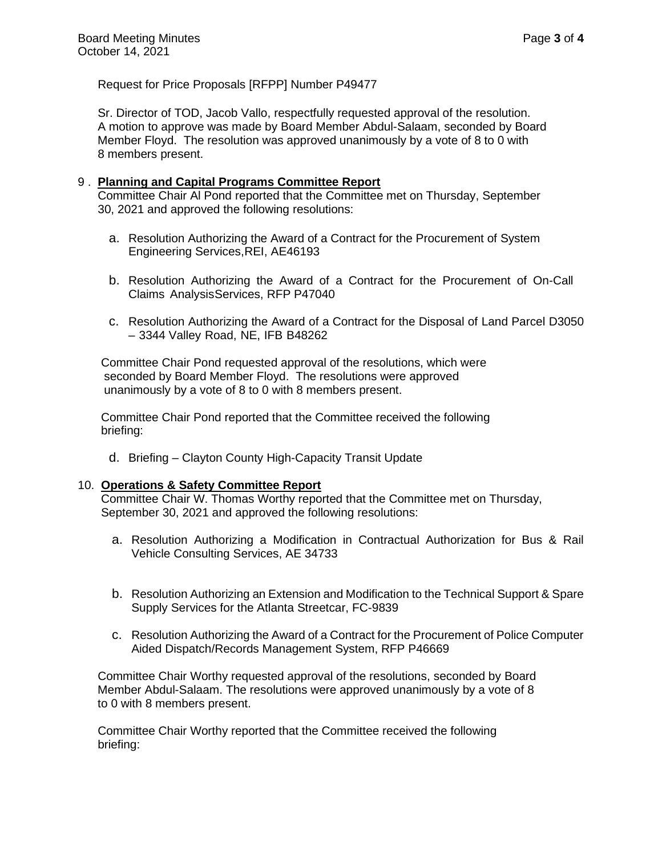Request for Price Proposals [RFPP] Number P49477

 Sr. Director of TOD, Jacob Vallo, respectfully requested approval of the resolution. A motion to approve was made by Board Member Abdul-Salaam, seconded by Board Member Floyd. The resolution was approved unanimously by a vote of 8 to 0 with 8 members present.

#### 9 . **Planning and Capital Programs Committee Report**

 Committee Chair Al Pond reported that the Committee met on Thursday, September 30, 2021 and approved the following resolutions:

- a. Resolution Authorizing the Award of a Contract for the Procurement of System Engineering Services,REI, AE46193
- b. Resolution Authorizing the Award of a Contract for the Procurement of On-Call Claims Analysis Services, RFP P47040
- c. Resolution Authorizing the Award of a Contract for the Disposal of Land Parcel D3050 – 3344 Valley Road, NE, IFB B48262

 Committee Chair Pond requested approval of the resolutions, which were seconded by Board Member Floyd. The resolutions were approved unanimously by a vote of 8 to 0 with 8 members present.

 Committee Chair Pond reported that the Committee received the following briefing:

d. Briefing – Clayton County High-Capacity Transit Update

#### 10. **Operations & Safety Committee Report**

Committee Chair W. Thomas Worthy reported that the Committee met on Thursday, September 30, 2021 and approved the following resolutions:

- a. Resolution Authorizing a Modification in Contractual Authorization for Bus & Rail Vehicle Consulting Services, AE 34733
- b. Resolution Authorizing an Extension and Modification to the Technical Support & Spare Supply Services for the Atlanta Streetcar, FC-9839
- c. Resolution Authorizing the Award of a Contract for the Procurement of Police Computer Aided Dispatch/Records Management System, RFP P46669

 Committee Chair Worthy requested approval of the resolutions, seconded by Board Member Abdul-Salaam. The resolutions were approved unanimously by a vote of 8 to 0 with 8 members present.

 Committee Chair Worthy reported that the Committee received the following briefing: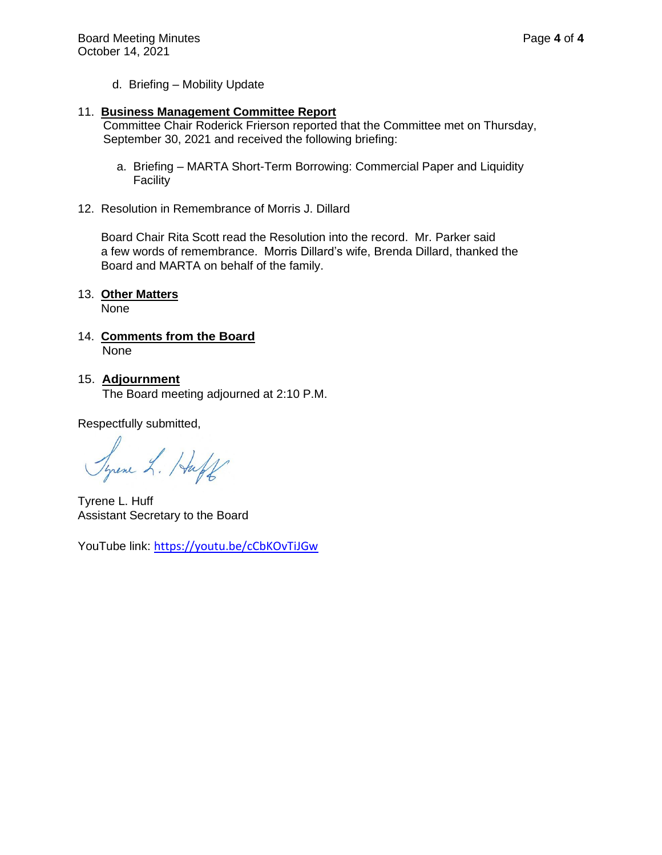d. Briefing – Mobility Update

#### 11. **Business Management Committee Report**

 Committee Chair Roderick Frierson reported that the Committee met on Thursday, September 30, 2021 and received the following briefing:

- a. Briefing MARTA Short-Term Borrowing: Commercial Paper and Liquidity Facility
- 12. Resolution in Remembrance of Morris J. Dillard

 Board Chair Rita Scott read the Resolution into the record. Mr. Parker said a few words of remembrance. Morris Dillard's wife, Brenda Dillard, thanked the Board and MARTA on behalf of the family.

#### 13. **Other Matters**

None

- 14. **Comments from the Board** None
- 15. **Adjournment**

The Board meeting adjourned at 2:10 P.M.

Respectfully submitted,

Syrene L. Huff

Tyrene L. Huff Assistant Secretary to the Board

YouTube link: <https://youtu.be/cCbKOvTiJGw>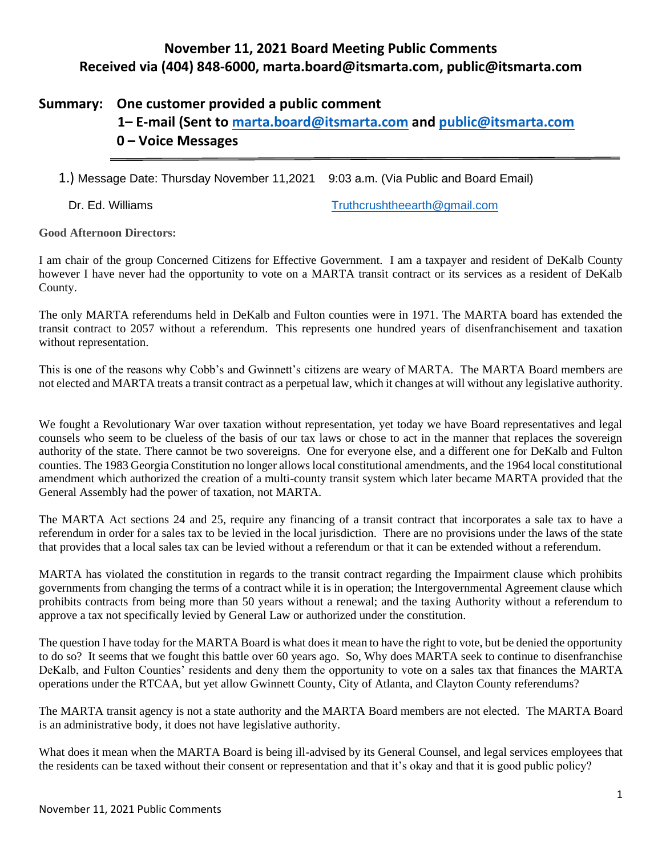## **November 11, 2021 Board Meeting Public Comments Received via (404) 848-6000, [marta.board@itsmarta.com,](mailto:marta.board@itsmarta.com) [public@itsmarta.com](mailto:public@itsmarta.com)**

## **Summary: One customer provided a public comment**

# **1– E-mail (Sent to [marta.board@itsmarta.com](mailto:marta.board@itsmarta.com) and [public@itsmarta.com](mailto:public@itsmarta.com) 0 – Voice Messages**

1.) Message Date: Thursday November 11,2021 9:03 a.m. (Via Public and Board Email)

Dr. Ed. Williams [Truthcrushtheearth@gmail.com](mailto:Truthcrushtheearth@gmail.com)

**Good Afternoon Directors:**

I am chair of the group Concerned Citizens for Effective Government. I am a taxpayer and resident of DeKalb County however I have never had the opportunity to vote on a MARTA transit contract or its services as a resident of DeKalb County.

The only MARTA referendums held in DeKalb and Fulton counties were in 1971. The MARTA board has extended the transit contract to 2057 without a referendum. This represents one hundred years of disenfranchisement and taxation without representation.

This is one of the reasons why Cobb's and Gwinnett's citizens are weary of MARTA. The MARTA Board members are not elected and MARTA treats a transit contract as a perpetual law, which it changes at will without any legislative authority.

We fought a Revolutionary War over taxation without representation, yet today we have Board representatives and legal counsels who seem to be clueless of the basis of our tax laws or chose to act in the manner that replaces the sovereign authority of the state. There cannot be two sovereigns. One for everyone else, and a different one for DeKalb and Fulton counties. The 1983 Georgia Constitution no longer allows local constitutional amendments, and the 1964 local constitutional amendment which authorized the creation of a multi-county transit system which later became MARTA provided that the General Assembly had the power of taxation, not MARTA.

The MARTA Act sections 24 and 25, require any financing of a transit contract that incorporates a sale tax to have a referendum in order for a sales tax to be levied in the local jurisdiction. There are no provisions under the laws of the state that provides that a local sales tax can be levied without a referendum or that it can be extended without a referendum.

MARTA has violated the constitution in regards to the transit contract regarding the Impairment clause which prohibits governments from changing the terms of a contract while it is in operation; the Intergovernmental Agreement clause which prohibits contracts from being more than 50 years without a renewal; and the taxing Authority without a referendum to approve a tax not specifically levied by General Law or authorized under the constitution.

The question I have today for the MARTA Board is what does it mean to have the right to vote, but be denied the opportunity to do so? It seems that we fought this battle over 60 years ago. So, Why does MARTA seek to continue to disenfranchise DeKalb, and Fulton Counties' residents and deny them the opportunity to vote on a sales tax that finances the MARTA operations under the RTCAA, but yet allow Gwinnett County, City of Atlanta, and Clayton County referendums?

The MARTA transit agency is not a state authority and the MARTA Board members are not elected. The MARTA Board is an administrative body, it does not have legislative authority.

What does it mean when the MARTA Board is being ill-advised by its General Counsel, and legal services employees that the residents can be taxed without their consent or representation and that it's okay and that it is good public policy?